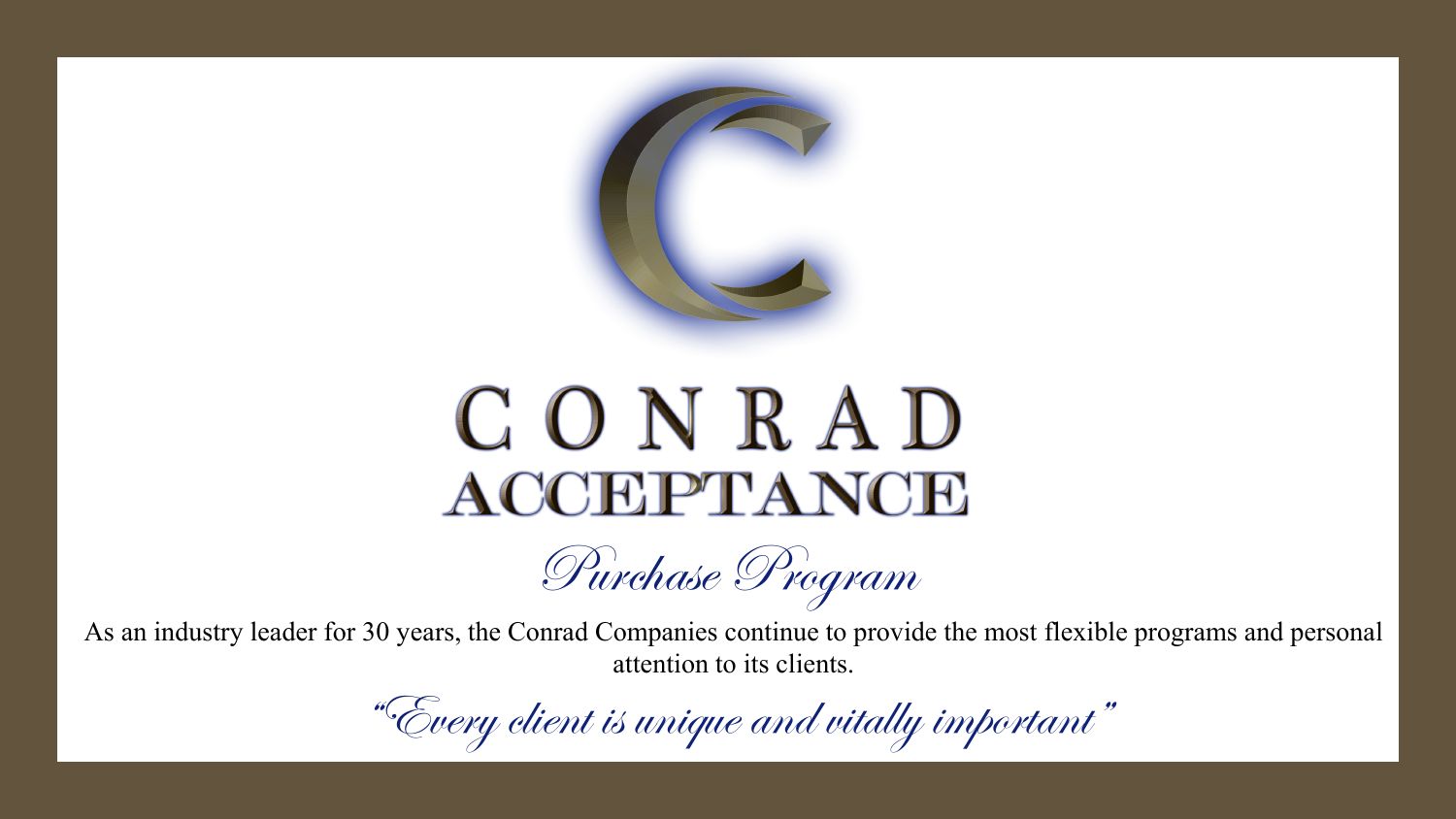

## CONRAD **ACCEPTANCE**

Purchase Program

As an industry leader for 30 years, the Conrad Companies continue to provide the most flexible programs and personal attention to its clients.

"Every client is unique and vitally important"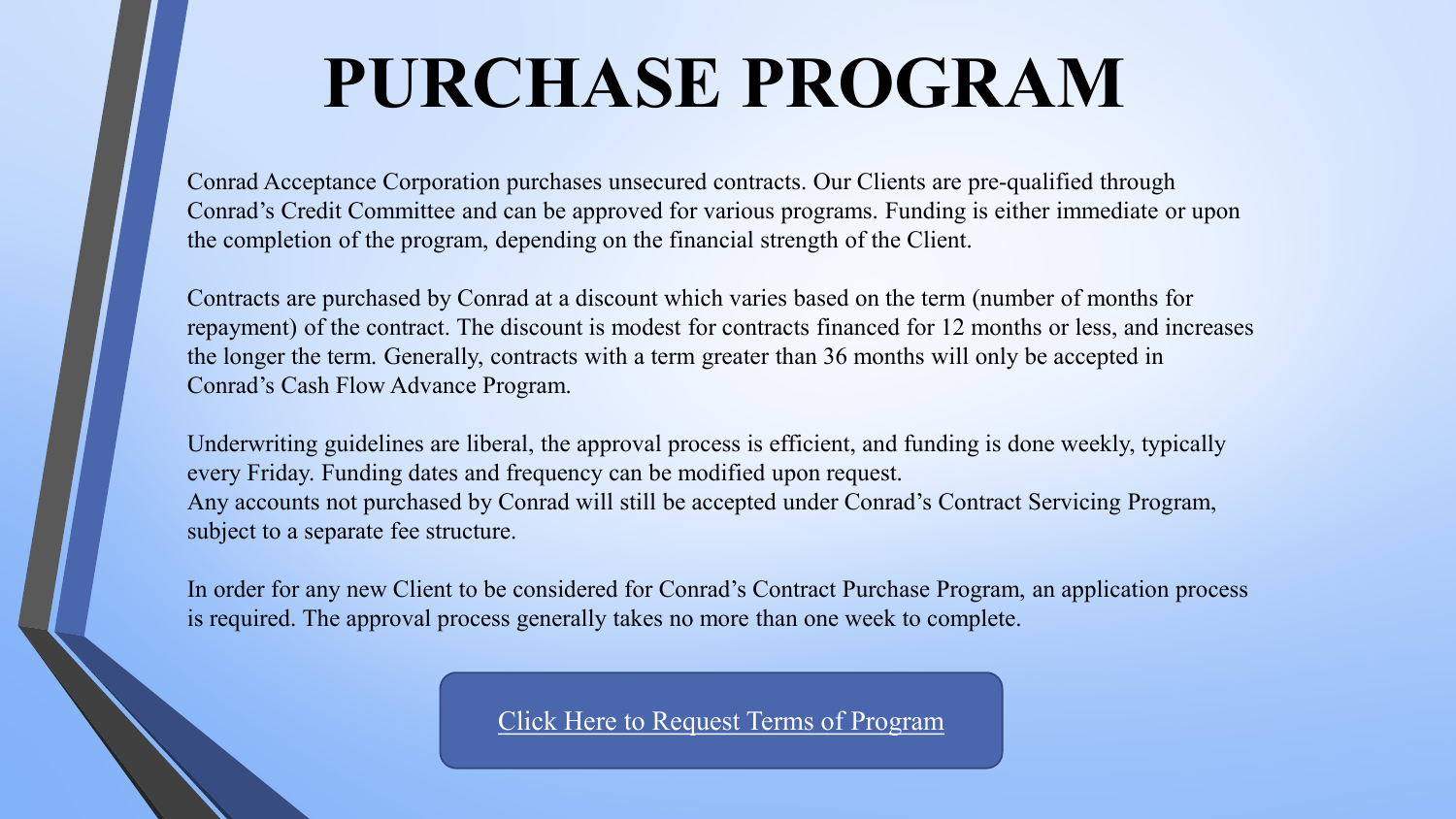### **PURCHASE PROGRAM**

Conrad Acceptance Corporation purchases unsecured contracts. Our Clients are pre-qualified through Conrad's Credit Committee and can be approved for various programs. Funding is either immediate or upon the completion of the program, depending on the financial strength of the Client.

Contracts are purchased by Conrad at a discount which varies based on the term (number of months for repayment) of the contract. The discount is modest for contracts financed for 12 months or less, and increases the longer the term. Generally, contracts with a term greater than 36 months will only be accepted in Conrad's Cash Flow Advance Program.

Underwriting guidelines are liberal, the approval process is efficient, and funding is done weekly, typically every Friday. Funding dates and frequency can be modified upon request. Any accounts not purchased by Conrad will still be accepted under Conrad's Contract Servicing Program, subject to a separate fee structure.

In order for any new Client to be considered for Conrad's Contract Purchase Program, an application process is required. The approval process generally takes no more than one week to complete.

[Click Here to Request Terms of Program](https://www.conradacceptance.com/new-client-application/)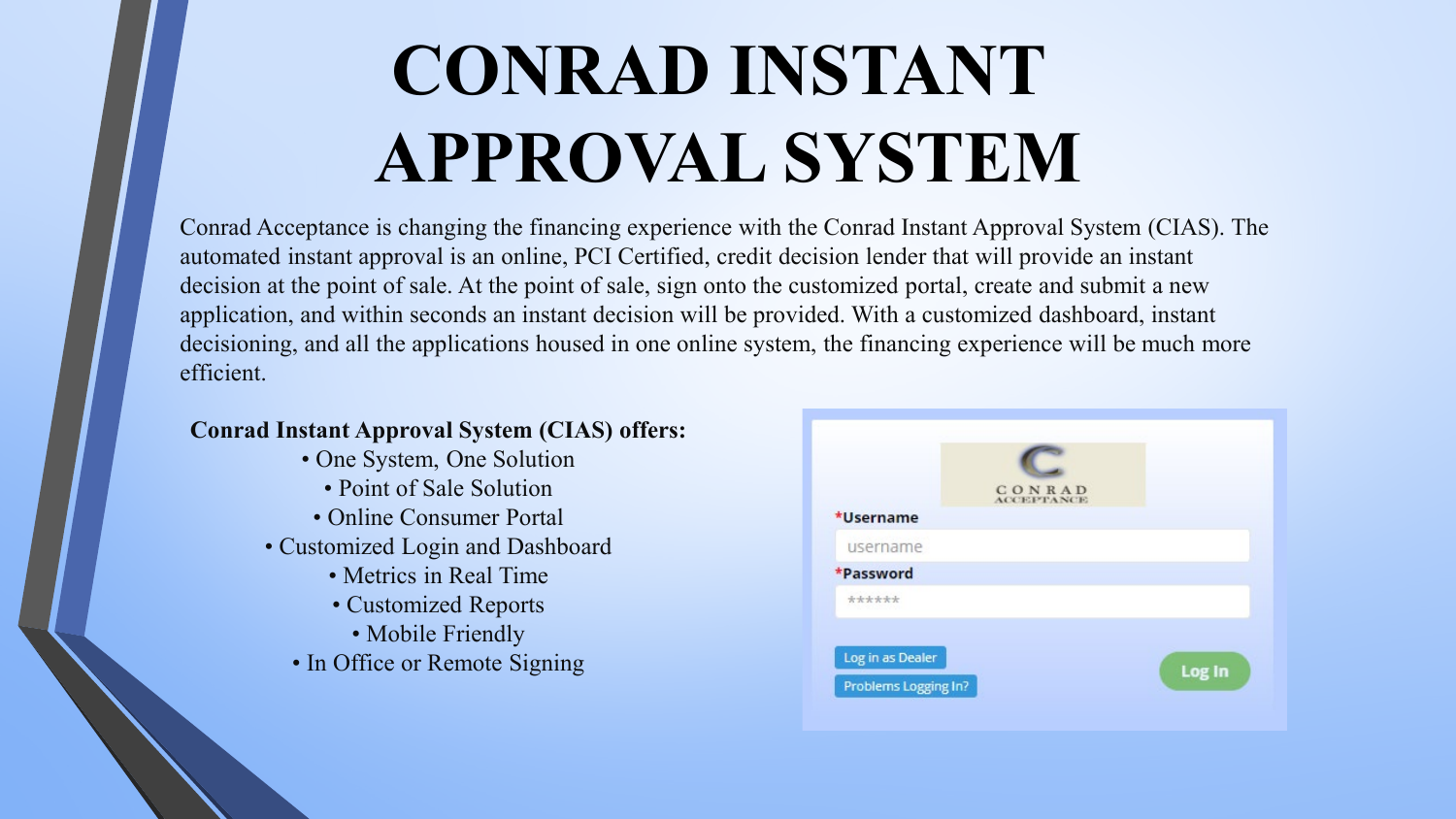# **CONRAD INSTANT APPROVAL SYSTEM**

Conrad Acceptance is changing the financing experience with the Conrad Instant Approval System (CIAS). The automated instant approval is an online, PCI Certified, credit decision lender that will provide an instant decision at the point of sale. At the point of sale, sign onto the customized portal, create and submit a new application, and within seconds an instant decision will be provided. With a customized dashboard, instant decisioning, and all the applications housed in one online system, the financing experience will be much more efficient.

#### **Conrad Instant Approval System (CIAS) offers:**

- One System, One Solution
	- Point of Sale Solution
- Online Consumer Portal
- Customized Login and Dashboard
	- Metrics in Real Time
	- Customized Reports
	- Mobile Friendly
	- In Office or Remote Signing

|                                          | <b>CONRAD</b><br>ACCEPTANCE |        |
|------------------------------------------|-----------------------------|--------|
| *Username                                |                             |        |
| username                                 |                             |        |
| *Password                                |                             |        |
| ******                                   |                             |        |
| Log in as Dealer<br>Problems Logging In? |                             | Log In |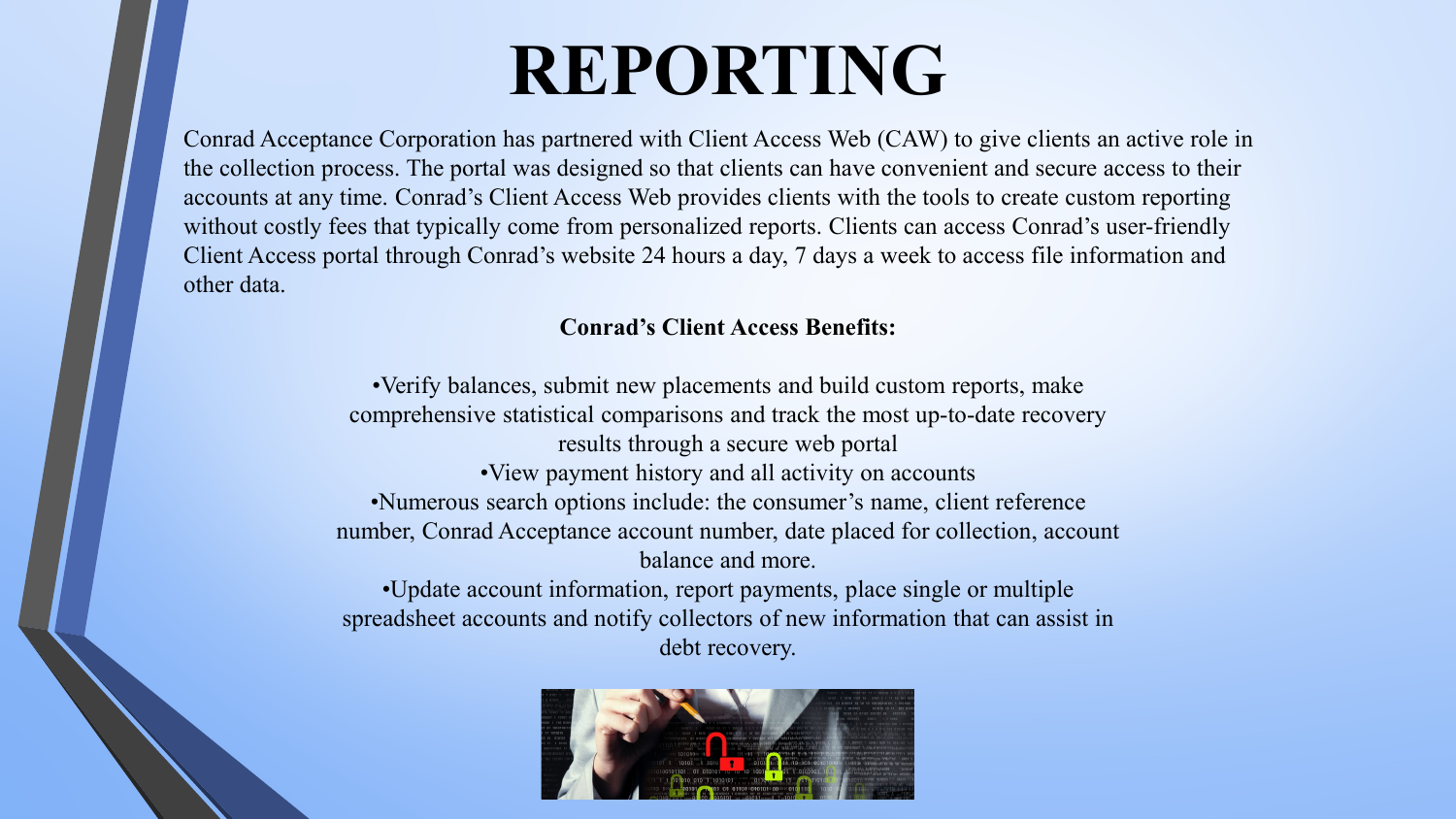### **REPORTING**

Conrad Acceptance Corporation has partnered with Client Access Web (CAW) to give clients an active role in the collection process. The portal was designed so that clients can have convenient and secure access to their accounts at any time. Conrad's Client Access Web provides clients with the tools to create custom reporting without costly fees that typically come from personalized reports. Clients can access Conrad's user-friendly Client Access portal through Conrad's website 24 hours a day, 7 days a week to access file information and other data.

#### **Conrad's Client Access Benefits:**

•Verify balances, submit new placements and build custom reports, make comprehensive statistical comparisons and track the most up-to-date recovery results through a secure web portal •View payment history and all activity on accounts •Numerous search options include: the consumer's name, client reference number, Conrad Acceptance account number, date placed for collection, account balance and more.

•Update account information, report payments, place single or multiple spreadsheet accounts and notify collectors of new information that can assist in debt recovery.

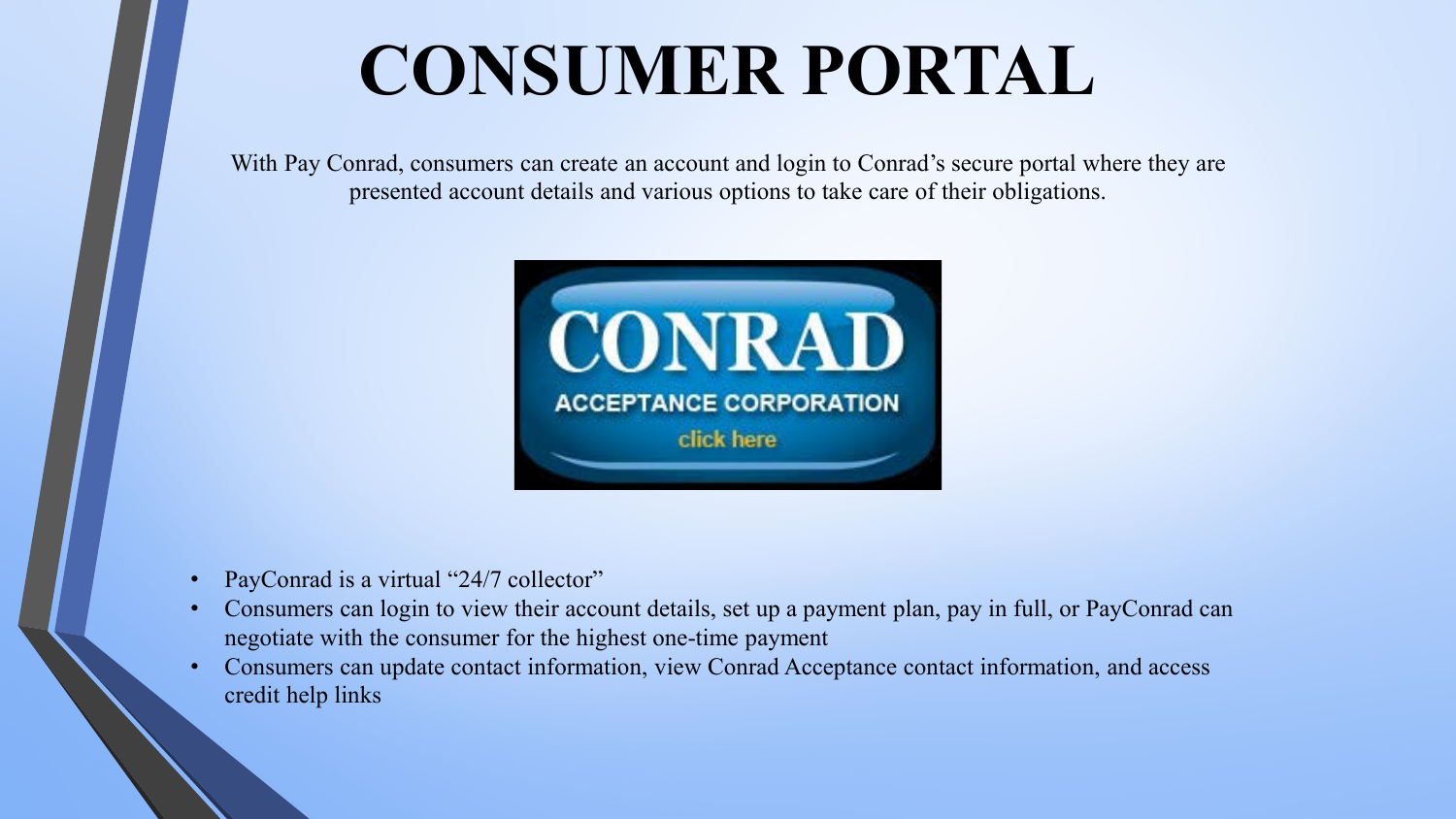## **CONSUMER PORTAL**

With Pay Conrad, consumers can create an account and login to Conrad's secure portal where they are presented account details and various options to take care of their obligations.



- PayConrad is a virtual "24/7 collector"
- Consumers can login to view their account details, set up a payment plan, pay in full, or PayConrad can negotiate with the consumer for the highest one-time payment
- Consumers can update contact information, view Conrad Acceptance contact information, and access credit help links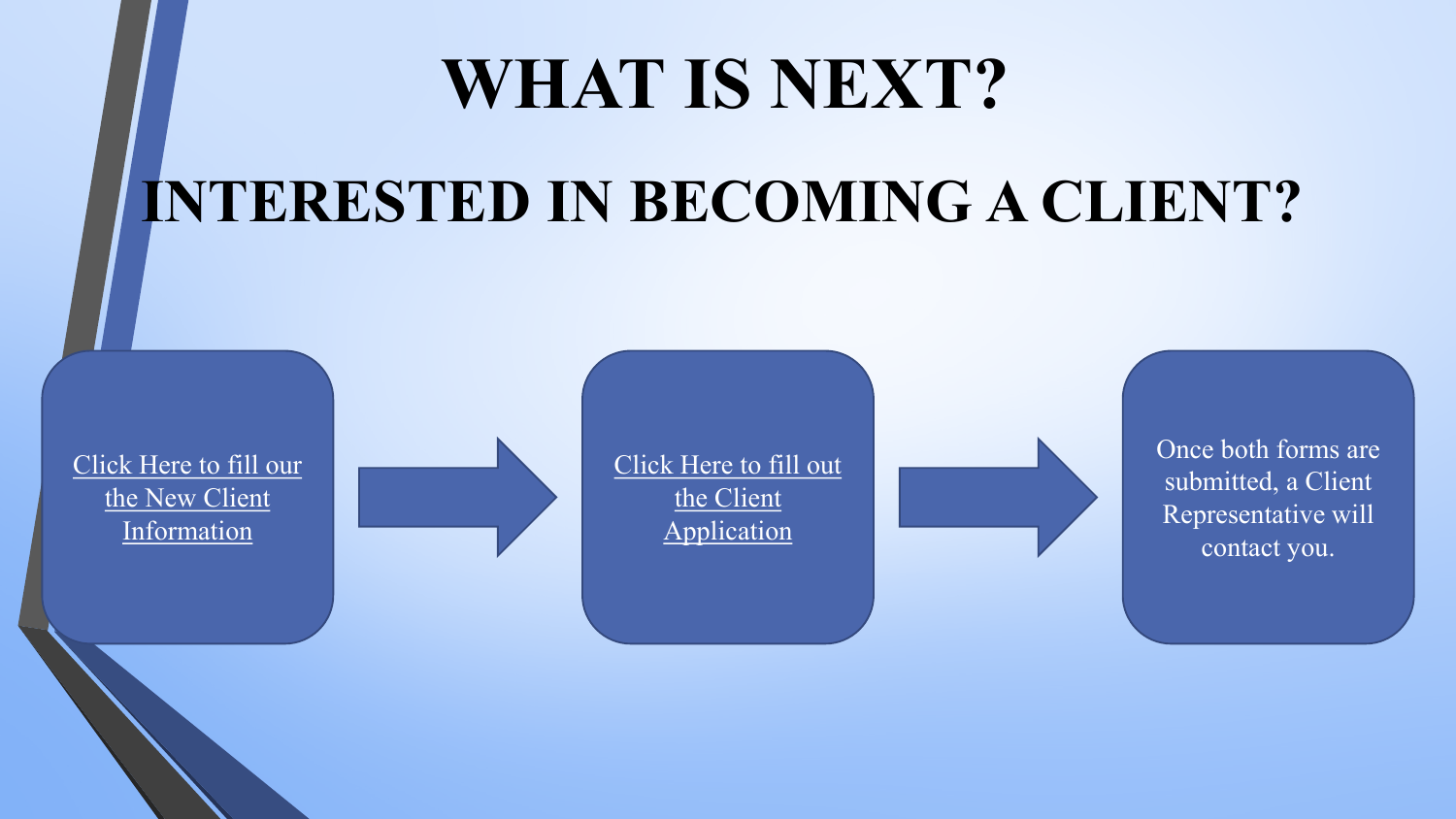### **WHAT IS NEXT?**

### **INTERESTED IN BECOMING A CLIENT?**

[Click Here to fill our](https://www.conradacceptance.com/new-client-application/)  the New Client Information

Click Here to fill out the Client Application

Once both forms are submitted, a Client Representative will contact you.